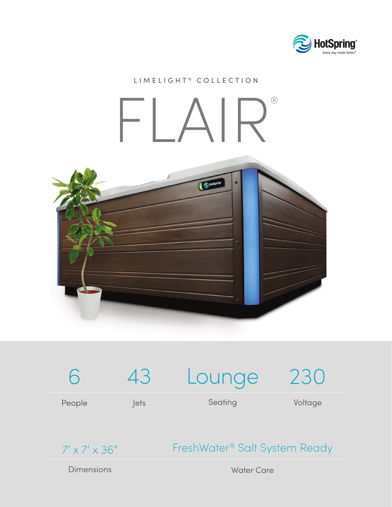

## LIMELIGHT<sup>®</sup> COLLECTION

## FLAIR®







## FreshWater® Salt System Ready

**Dimensions** 

Water Care